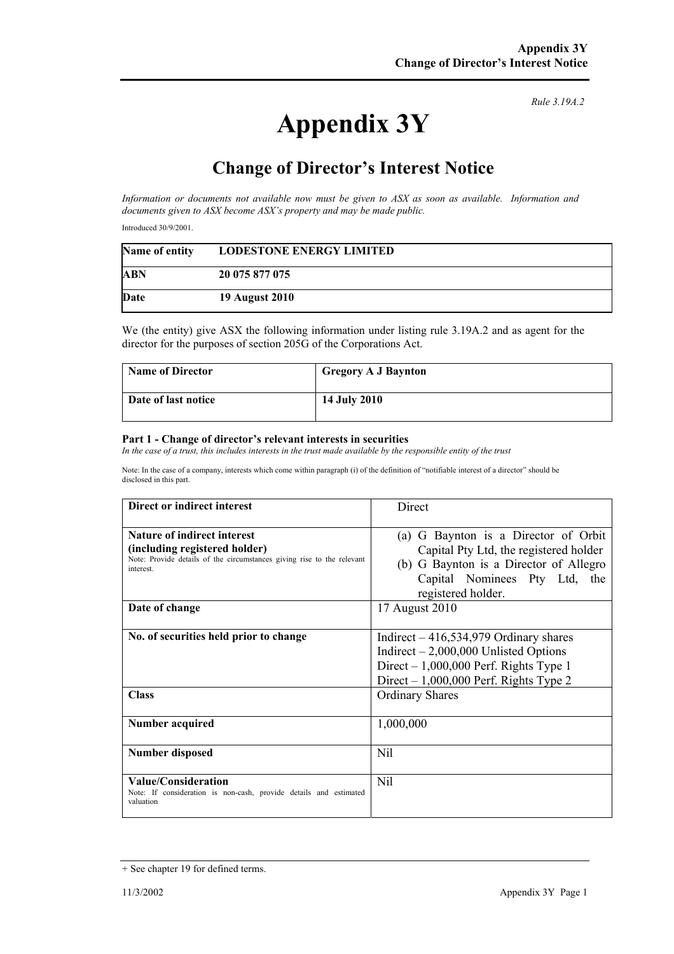## **Appendix 3Y**

*Rule 3.19A.2*

## **Change of Director's Interest Notice**

*Information or documents not available now must be given to ASX as soon as available. Information and documents given to ASX become ASX's property and may be made public.* 

Introduced 30/9/2001.

| Name of entity | <b>LODESTONE ENERGY LIMITED</b> |
|----------------|---------------------------------|
| ABN            | 20 075 877 075                  |
| Date           | <b>19 August 2010</b>           |

We (the entity) give ASX the following information under listing rule 3.19A.2 and as agent for the director for the purposes of section 205G of the Corporations Act.

| <b>Name of Director</b> | <b>Gregory A J Baynton</b> |
|-------------------------|----------------------------|
| Date of last notice     | <b>14 July 2010</b>        |

## **Part 1 - Change of director's relevant interests in securities**

In the case of a trust, this includes interests in the trust made available by the responsible entity of the trust

Note: In the case of a company, interests which come within paragraph (i) of the definition of "notifiable interest of a director" should be disclosed in this part.

| Direct or indirect interest                                                                                                                               | Direct                                                                                                                                                                             |
|-----------------------------------------------------------------------------------------------------------------------------------------------------------|------------------------------------------------------------------------------------------------------------------------------------------------------------------------------------|
| <b>Nature of indirect interest</b><br>(including registered holder)<br>Note: Provide details of the circumstances giving rise to the relevant<br>interest | G Baynton is a Director of Orbit<br>(a)<br>Capital Pty Ltd, the registered holder<br>(b) G Baynton is a Director of Allegro<br>Capital Nominees Pty Ltd, the<br>registered holder. |
| Date of change                                                                                                                                            | 17 August 2010                                                                                                                                                                     |
| No. of securities held prior to change                                                                                                                    | Indirect $-416,534,979$ Ordinary shares<br>Indirect $-2,000,000$ Unlisted Options<br>Direct $-1,000,000$ Perf. Rights Type 1<br>Direct $-1,000,000$ Perf. Rights Type 2            |
| <b>Class</b>                                                                                                                                              | <b>Ordinary Shares</b>                                                                                                                                                             |
| <b>Number acquired</b>                                                                                                                                    | 1,000,000                                                                                                                                                                          |
| <b>Number disposed</b>                                                                                                                                    | Nil                                                                                                                                                                                |
| <b>Value/Consideration</b><br>Note: If consideration is non-cash, provide details and estimated<br>valuation                                              | Nil                                                                                                                                                                                |

<sup>+</sup> See chapter 19 for defined terms.